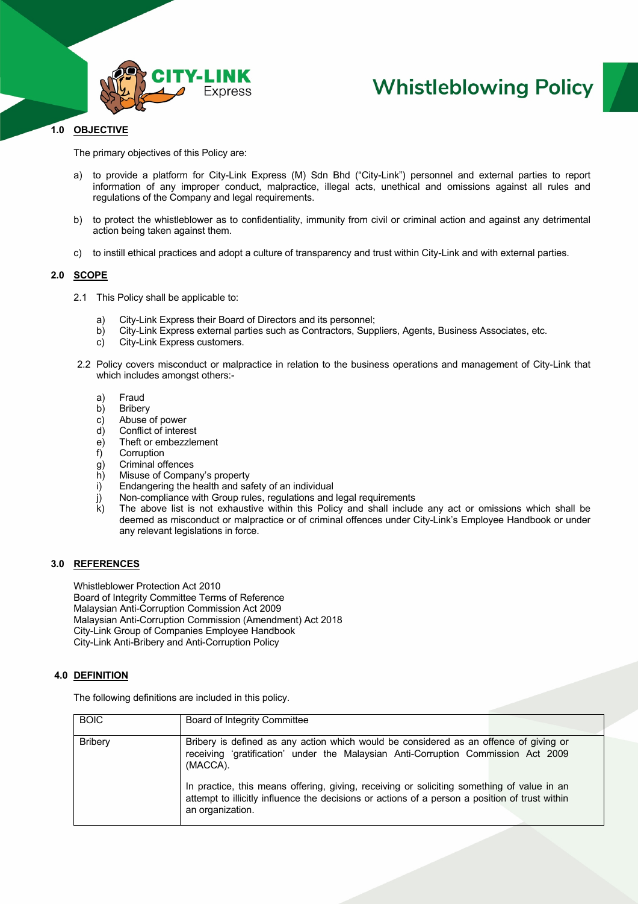

# **1.0 OBJECTIVE**

The primary objectives of this Policy are:

- a) to provide a platform for City-Link Express (M) Sdn Bhd ("City-Link") personnel and external parties to report information of any improper conduct, malpractice, illegal acts, unethical and omissions against all rules and regulations of the Company and legal requirements.
- b) to protect the whistleblower as to confidentiality, immunity from civil or criminal action and against any detrimental action being taken against them.
- c) to instill ethical practices and adopt a culture of transparency and trust within City-Link and with external parties.

# **2.0 SCOPE**

- 2.1 This Policy shall be applicable to:
	- a) City-Link Express their Board of Directors and its personnel;
	- b) City-Link Express external parties such as Contractors, Suppliers, Agents, Business Associates, etc.
	- c) City-Link Express customers.
- 2.2 Policy covers misconduct or malpractice in relation to the business operations and management of City-Link that which includes amongst others:
	- a) Fraud
	- b) Bribery
	- c) Abuse of power
	- d) Conflict of interest
	- e) Theft or embezzlement<br>f) Corruption
	- Corruption
	- g) Criminal offences
	- h) Misuse of Company's property
	- i) Endangering the health and safety of an individual
	- j) Non-compliance with Group rules, regulations and legal requirements
	- k) The above list is not exhaustive within this Policy and shall include any act or omissions which shall be deemed as misconduct or malpractice or of criminal offences under City-Link's Employee Handbook or under any relevant legislations in force.

#### **3.0 REFERENCES**

Whistleblower Protection Act 2010 Board of Integrity Committee Terms of Reference Malaysian Anti-Corruption Commission Act 2009 Malaysian Anti-Corruption Commission (Amendment) Act 2018 City-Link Group of Companies Employee Handbook City-Link Anti-Bribery and Anti-Corruption Policy

## **4.0 DEFINITION**

The following definitions are included in this policy.

| <b>BOIC</b>    | Board of Integrity Committee                                                                                                                                                                                     |
|----------------|------------------------------------------------------------------------------------------------------------------------------------------------------------------------------------------------------------------|
| <b>Bribery</b> | Bribery is defined as any action which would be considered as an offence of giving or<br>receiving 'gratification' under the Malaysian Anti-Corruption Commission Act 2009<br>(MACCA).                           |
|                | In practice, this means offering, giving, receiving or soliciting something of value in an<br>attempt to illicitly influence the decisions or actions of a person a position of trust within<br>an organization. |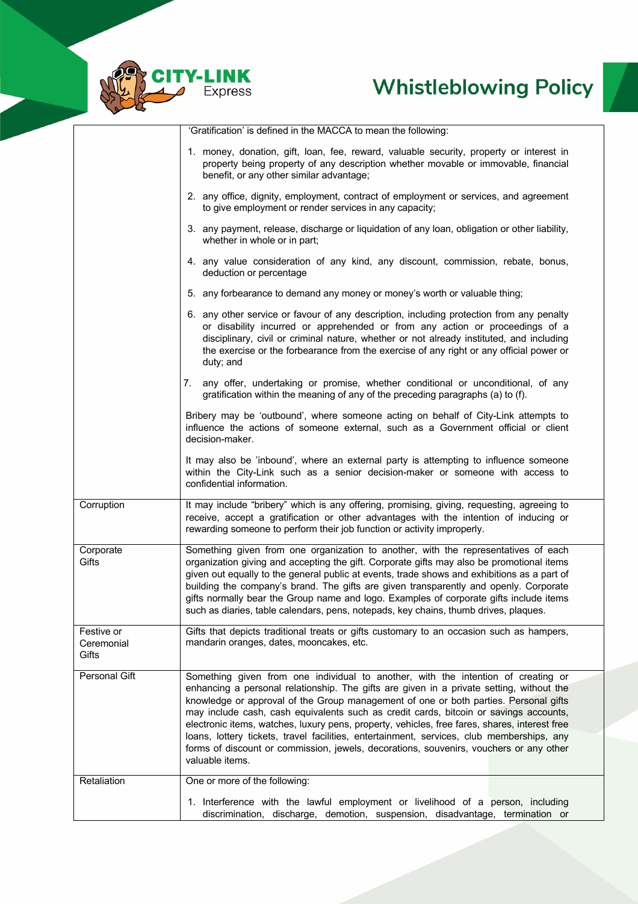



|                                   | 'Gratification' is defined in the MACCA to mean the following:                                                                                                                                                                                                                                                                                                                                                                                                                                                                                                                                                                                                            |
|-----------------------------------|---------------------------------------------------------------------------------------------------------------------------------------------------------------------------------------------------------------------------------------------------------------------------------------------------------------------------------------------------------------------------------------------------------------------------------------------------------------------------------------------------------------------------------------------------------------------------------------------------------------------------------------------------------------------------|
|                                   | 1. money, donation, gift, loan, fee, reward, valuable security, property or interest in<br>property being property of any description whether movable or immovable, financial<br>benefit, or any other similar advantage;                                                                                                                                                                                                                                                                                                                                                                                                                                                 |
|                                   | 2. any office, dignity, employment, contract of employment or services, and agreement<br>to give employment or render services in any capacity;                                                                                                                                                                                                                                                                                                                                                                                                                                                                                                                           |
|                                   | 3. any payment, release, discharge or liquidation of any loan, obligation or other liability,<br>whether in whole or in part;                                                                                                                                                                                                                                                                                                                                                                                                                                                                                                                                             |
|                                   | 4. any value consideration of any kind, any discount, commission, rebate, bonus,<br>deduction or percentage                                                                                                                                                                                                                                                                                                                                                                                                                                                                                                                                                               |
|                                   | 5. any forbearance to demand any money or money's worth or valuable thing;                                                                                                                                                                                                                                                                                                                                                                                                                                                                                                                                                                                                |
|                                   | 6. any other service or favour of any description, including protection from any penalty<br>or disability incurred or apprehended or from any action or proceedings of a<br>disciplinary, civil or criminal nature, whether or not already instituted, and including<br>the exercise or the forbearance from the exercise of any right or any official power or<br>duty; and                                                                                                                                                                                                                                                                                              |
|                                   | any offer, undertaking or promise, whether conditional or unconditional, of any<br>7.<br>gratification within the meaning of any of the preceding paragraphs (a) to (f).                                                                                                                                                                                                                                                                                                                                                                                                                                                                                                  |
|                                   | Bribery may be 'outbound', where someone acting on behalf of City-Link attempts to<br>influence the actions of someone external, such as a Government official or client<br>decision-maker.                                                                                                                                                                                                                                                                                                                                                                                                                                                                               |
|                                   | It may also be 'inbound', where an external party is attempting to influence someone<br>within the City-Link such as a senior decision-maker or someone with access to<br>confidential information.                                                                                                                                                                                                                                                                                                                                                                                                                                                                       |
| Corruption                        | It may include "bribery" which is any offering, promising, giving, requesting, agreeing to<br>receive, accept a gratification or other advantages with the intention of inducing or<br>rewarding someone to perform their job function or activity improperly.                                                                                                                                                                                                                                                                                                                                                                                                            |
| Corporate<br>Gifts                | Something given from one organization to another, with the representatives of each<br>organization giving and accepting the gift. Corporate gifts may also be promotional items<br>given out equally to the general public at events, trade shows and exhibitions as a part of<br>building the company's brand. The gifts are given transparently and openly. Corporate<br>gifts normally bear the Group name and logo. Examples of corporate gifts include items<br>such as diaries, table calendars, pens, notepads, key chains, thumb drives, plaques.                                                                                                                 |
| Festive or<br>Ceremonial<br>Gifts | Gifts that depicts traditional treats or gifts customary to an occasion such as hampers,<br>mandarin oranges, dates, mooncakes, etc.                                                                                                                                                                                                                                                                                                                                                                                                                                                                                                                                      |
| Personal Gift                     | Something given from one individual to another, with the intention of creating or<br>enhancing a personal relationship. The gifts are given in a private setting, without the<br>knowledge or approval of the Group management of one or both parties. Personal gifts<br>may include cash, cash equivalents such as credit cards, bitcoin or savings accounts,<br>electronic items, watches, luxury pens, property, vehicles, free fares, shares, interest free<br>loans, lottery tickets, travel facilities, entertainment, services, club memberships, any<br>forms of discount or commission, jewels, decorations, souvenirs, vouchers or any other<br>valuable items. |
| Retaliation                       | One or more of the following:                                                                                                                                                                                                                                                                                                                                                                                                                                                                                                                                                                                                                                             |
|                                   | 1. Interference with the lawful employment or livelihood of a person, including<br>discrimination, discharge, demotion, suspension, disadvantage, termination or                                                                                                                                                                                                                                                                                                                                                                                                                                                                                                          |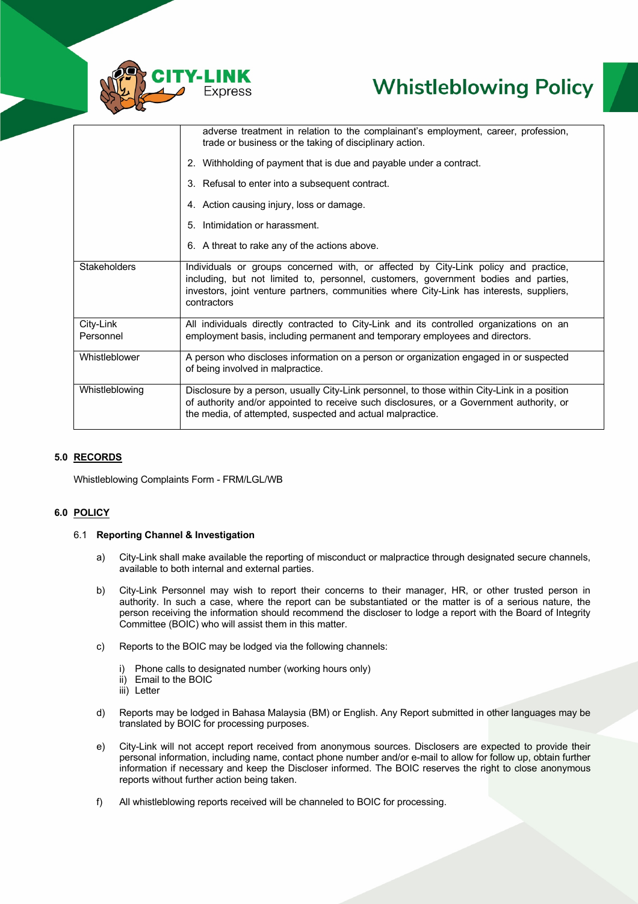

|                        | adverse treatment in relation to the complainant's employment, career, profession,<br>trade or business or the taking of disciplinary action.                                                                                                                                         |
|------------------------|---------------------------------------------------------------------------------------------------------------------------------------------------------------------------------------------------------------------------------------------------------------------------------------|
|                        | 2. Withholding of payment that is due and payable under a contract.                                                                                                                                                                                                                   |
|                        | 3. Refusal to enter into a subsequent contract.                                                                                                                                                                                                                                       |
|                        | 4. Action causing injury, loss or damage.                                                                                                                                                                                                                                             |
|                        | Intimidation or harassment.<br>5.                                                                                                                                                                                                                                                     |
|                        | 6. A threat to rake any of the actions above.                                                                                                                                                                                                                                         |
| Stakeholders           | Individuals or groups concerned with, or affected by City-Link policy and practice,<br>including, but not limited to, personnel, customers, government bodies and parties,<br>investors, joint venture partners, communities where City-Link has interests, suppliers,<br>contractors |
| City-Link<br>Personnel | All individuals directly contracted to City-Link and its controlled organizations on an<br>employment basis, including permanent and temporary employees and directors.                                                                                                               |
| Whistleblower          | A person who discloses information on a person or organization engaged in or suspected<br>of being involved in malpractice.                                                                                                                                                           |
| Whistleblowing         | Disclosure by a person, usually City-Link personnel, to those within City-Link in a position<br>of authority and/or appointed to receive such disclosures, or a Government authority, or<br>the media, of attempted, suspected and actual malpractice.                                |

# **5.0 RECORDS**

Whistleblowing Complaints Form - FRM/LGL/WB

# **6.0 POLICY**

#### 6.1 **Reporting Channel & Investigation**

- a) City-Link shall make available the reporting of misconduct or malpractice through designated secure channels, available to both internal and external parties.
- b) City-Link Personnel may wish to report their concerns to their manager, HR, or other trusted person in authority. In such a case, where the report can be substantiated or the matter is of a serious nature, the person receiving the information should recommend the discloser to lodge a report with the Board of Integrity Committee (BOIC) who will assist them in this matter.
- c) Reports to the BOIC may be lodged via the following channels:
	- i) Phone calls to designated number (working hours only)
	- ii) Email to the BOIC
	- iii) Letter
- d) Reports may be lodged in Bahasa Malaysia (BM) or English. Any Report submitted in other languages may be translated by BOIC for processing purposes.
- e) City-Link will not accept report received from anonymous sources. Disclosers are expected to provide their personal information, including name, contact phone number and/or e-mail to allow for follow up, obtain further information if necessary and keep the Discloser informed. The BOIC reserves the right to close anonymous reports without further action being taken.
- f) All whistleblowing reports received will be channeled to BOIC for processing.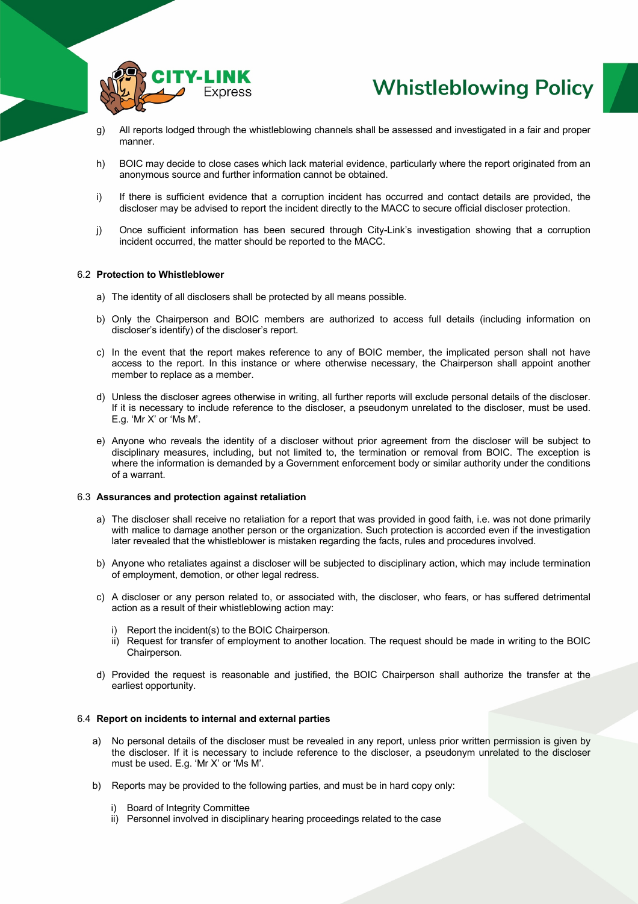

- g) All reports lodged through the whistleblowing channels shall be assessed and investigated in a fair and proper manner.
- h) BOIC may decide to close cases which lack material evidence, particularly where the report originated from an anonymous source and further information cannot be obtained.
- i) If there is sufficient evidence that a corruption incident has occurred and contact details are provided, the discloser may be advised to report the incident directly to the MACC to secure official discloser protection.
- j) Once sufficient information has been secured through City-Link's investigation showing that a corruption incident occurred, the matter should be reported to the MACC.

#### 6.2 **Protection to Whistleblower**

- a) The identity of all disclosers shall be protected by all means possible.
- b) Only the Chairperson and BOIC members are authorized to access full details (including information on discloser's identify) of the discloser's report.
- c) In the event that the report makes reference to any of BOIC member, the implicated person shall not have access to the report. In this instance or where otherwise necessary, the Chairperson shall appoint another member to replace as a member.
- d) Unless the discloser agrees otherwise in writing, all further reports will exclude personal details of the discloser. If it is necessary to include reference to the discloser, a pseudonym unrelated to the discloser, must be used. E.g. 'Mr X' or 'Ms M'.
- e) Anyone who reveals the identity of a discloser without prior agreement from the discloser will be subject to disciplinary measures, including, but not limited to, the termination or removal from BOIC. The exception is where the information is demanded by a Government enforcement body or similar authority under the conditions of a warrant.

### 6.3 **Assurances and protection against retaliation**

- a) The discloser shall receive no retaliation for a report that was provided in good faith, i.e. was not done primarily with malice to damage another person or the organization. Such protection is accorded even if the investigation later revealed that the whistleblower is mistaken regarding the facts, rules and procedures involved.
- b) Anyone who retaliates against a discloser will be subjected to disciplinary action, which may include termination of employment, demotion, or other legal redress.
- c) A discloser or any person related to, or associated with, the discloser, who fears, or has suffered detrimental action as a result of their whistleblowing action may:
	- i) Report the incident(s) to the BOIC Chairperson.
	- ii) Request for transfer of employment to another location. The request should be made in writing to the BOIC Chairperson.
- d) Provided the request is reasonable and justified, the BOIC Chairperson shall authorize the transfer at the earliest opportunity.

#### 6.4 **Report on incidents to internal and external parties**

- a) No personal details of the discloser must be revealed in any report, unless prior written permission is given by the discloser. If it is necessary to include reference to the discloser, a pseudonym unrelated to the discloser must be used. E.g. 'Mr X' or 'Ms M'.
- b) Reports may be provided to the following parties, and must be in hard copy only:
	- i) Board of Integrity Committee
	- ii) Personnel involved in disciplinary hearing proceedings related to the case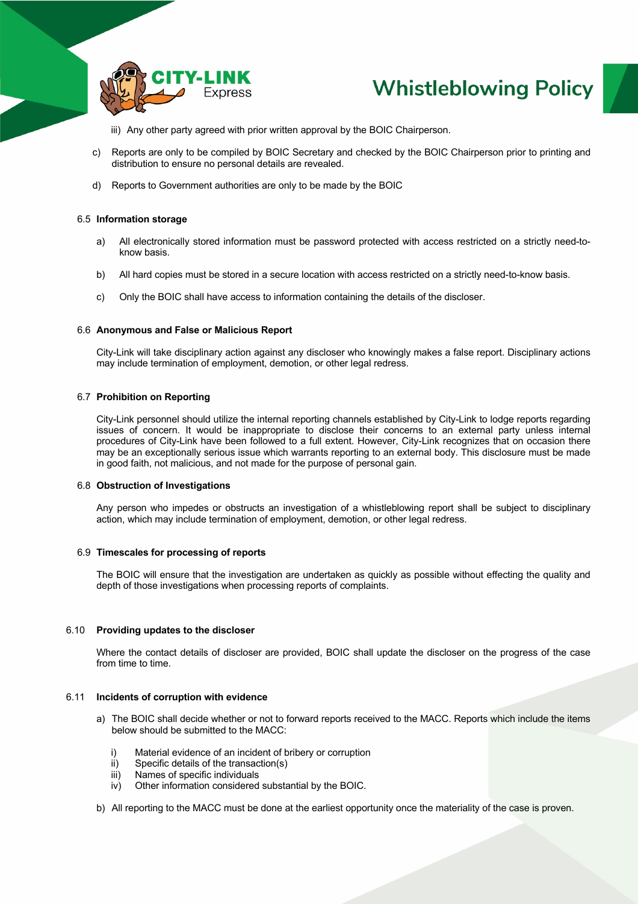

- iii) Any other party agreed with prior written approval by the BOIC Chairperson.
- Reports are only to be compiled by BOIC Secretary and checked by the BOIC Chairperson prior to printing and distribution to ensure no personal details are revealed.
- d) Reports to Government authorities are only to be made by the BOIC

#### 6.5 **Information storage**

- a) All electronically stored information must be password protected with access restricted on a strictly need-toknow basis.
- b) All hard copies must be stored in a secure location with access restricted on a strictly need-to-know basis.
- c) Only the BOIC shall have access to information containing the details of the discloser.

#### 6.6 **Anonymous and False or Malicious Report**

City-Link will take disciplinary action against any discloser who knowingly makes a false report. Disciplinary actions may include termination of employment, demotion, or other legal redress.

#### 6.7 **Prohibition on Reporting**

City-Link personnel should utilize the internal reporting channels established by City-Link to lodge reports regarding issues of concern. It would be inappropriate to disclose their concerns to an external party unless internal procedures of City-Link have been followed to a full extent. However, City-Link recognizes that on occasion there may be an exceptionally serious issue which warrants reporting to an external body. This disclosure must be made in good faith, not malicious, and not made for the purpose of personal gain.

#### 6.8 **Obstruction of Investigations**

Any person who impedes or obstructs an investigation of a whistleblowing report shall be subject to disciplinary action, which may include termination of employment, demotion, or other legal redress.

#### 6.9 **Timescales for processing of reports**

The BOIC will ensure that the investigation are undertaken as quickly as possible without effecting the quality and depth of those investigations when processing reports of complaints.

#### 6.10 **Providing updates to the discloser**

Where the contact details of discloser are provided, BOIC shall update the discloser on the progress of the case from time to time.

#### 6.11 **Incidents of corruption with evidence**

- a) The BOIC shall decide whether or not to forward reports received to the MACC. Reports which include the items below should be submitted to the MACC:
	- i) Material evidence of an incident of bribery or corruption
	- ii) Specific details of the transaction(s)
	- iii) Names of specific individuals
	- iv) Other information considered substantial by the BOIC.
- b) All reporting to the MACC must be done at the earliest opportunity once the materiality of the case is proven.